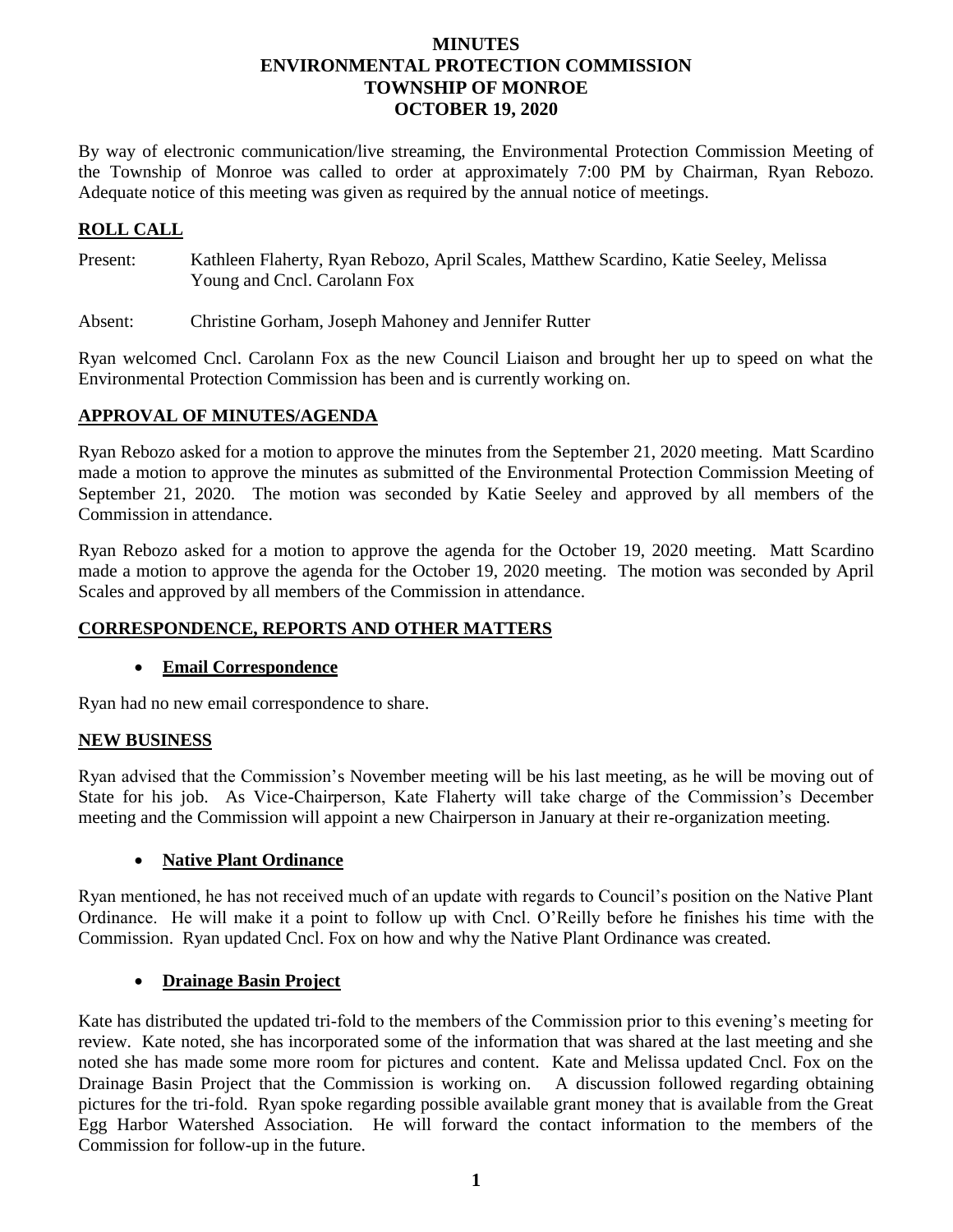## **MINUTES ENVIRONMENTAL PROTECTION COMMISSION TOWNSHIP OF MONROE OCTOBER 19, 2020**

By way of electronic communication/live streaming, the Environmental Protection Commission Meeting of the Township of Monroe was called to order at approximately 7:00 PM by Chairman, Ryan Rebozo. Adequate notice of this meeting was given as required by the annual notice of meetings.

## **ROLL CALL**

- Present: Kathleen Flaherty, Ryan Rebozo, April Scales, Matthew Scardino, Katie Seeley, Melissa Young and Cncl. Carolann Fox
- Absent: Christine Gorham, Joseph Mahoney and Jennifer Rutter

Ryan welcomed Cncl. Carolann Fox as the new Council Liaison and brought her up to speed on what the Environmental Protection Commission has been and is currently working on.

### **APPROVAL OF MINUTES/AGENDA**

Ryan Rebozo asked for a motion to approve the minutes from the September 21, 2020 meeting. Matt Scardino made a motion to approve the minutes as submitted of the Environmental Protection Commission Meeting of September 21, 2020. The motion was seconded by Katie Seeley and approved by all members of the Commission in attendance.

Ryan Rebozo asked for a motion to approve the agenda for the October 19, 2020 meeting. Matt Scardino made a motion to approve the agenda for the October 19, 2020 meeting. The motion was seconded by April Scales and approved by all members of the Commission in attendance.

# **CORRESPONDENCE, REPORTS AND OTHER MATTERS**

### **Email Correspondence**

Ryan had no new email correspondence to share.

### **NEW BUSINESS**

Ryan advised that the Commission's November meeting will be his last meeting, as he will be moving out of State for his job. As Vice-Chairperson, Kate Flaherty will take charge of the Commission's December meeting and the Commission will appoint a new Chairperson in January at their re-organization meeting.

### **Native Plant Ordinance**

Ryan mentioned, he has not received much of an update with regards to Council's position on the Native Plant Ordinance. He will make it a point to follow up with Cncl. O'Reilly before he finishes his time with the Commission. Ryan updated Cncl. Fox on how and why the Native Plant Ordinance was created.

### **Drainage Basin Project**

Kate has distributed the updated tri-fold to the members of the Commission prior to this evening's meeting for review. Kate noted, she has incorporated some of the information that was shared at the last meeting and she noted she has made some more room for pictures and content. Kate and Melissa updated Cncl. Fox on the Drainage Basin Project that the Commission is working on. A discussion followed regarding obtaining pictures for the tri-fold. Ryan spoke regarding possible available grant money that is available from the Great Egg Harbor Watershed Association. He will forward the contact information to the members of the Commission for follow-up in the future.